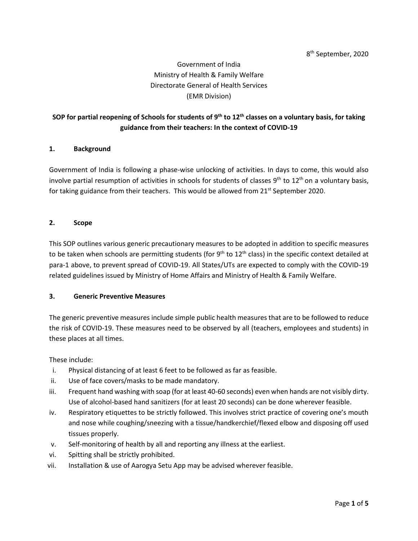# Government of India Ministry of Health & Family Welfare Directorate General of Health Services (EMR Division)

# **SOP for partial reopening of Schools for students of 9 th to 12th classes on a voluntary basis, for taking guidance from their teachers: In the context of COVID-19**

#### **1. Background**

Government of India is following a phase-wise unlocking of activities. In days to come, this would also involve partial resumption of activities in schools for students of classes  $9<sup>th</sup>$  to  $12<sup>th</sup>$  on a voluntary basis, for taking guidance from their teachers. This would be allowed from  $21^{st}$  September 2020.

#### **2. Scope**

This SOP outlines various generic precautionary measures to be adopted in addition to specific measures to be taken when schools are permitting students (for 9<sup>th</sup> to 12<sup>th</sup> class) in the specific context detailed at para-1 above, to prevent spread of COVID-19. All States/UTs are expected to comply with the COVID-19 related guidelines issued by Ministry of Home Affairs and Ministry of Health & Family Welfare.

#### **3. Generic Preventive Measures**

The generic preventive measures include simple public health measures that are to be followed to reduce the risk of COVID-19. These measures need to be observed by all (teachers, employees and students) in these places at all times.

These include:

- i. Physical distancing of at least 6 feet to be followed as far as feasible.
- ii. Use of face covers/masks to be made mandatory.
- iii. Frequent hand washing with soap (for at least 40-60 seconds) even when hands are not visibly dirty. Use of alcohol-based hand sanitizers (for at least 20 seconds) can be done wherever feasible.
- iv. Respiratory etiquettes to be strictly followed. This involves strict practice of covering one's mouth and nose while coughing/sneezing with a tissue/handkerchief/flexed elbow and disposing off used tissues properly.
- v. Self-monitoring of health by all and reporting any illness at the earliest.
- vi. Spitting shall be strictly prohibited.
- vii. Installation & use of Aarogya Setu App may be advised wherever feasible.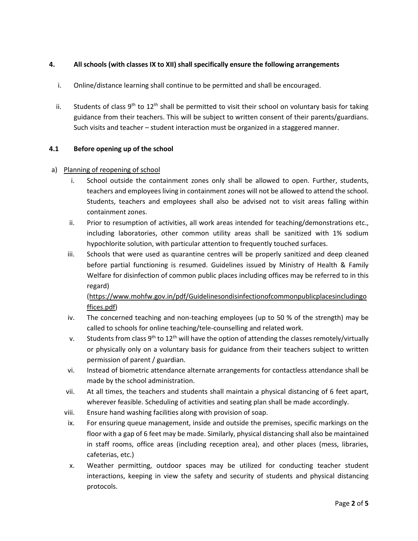# **4. All schools (with classes IX to XII) shall specifically ensure the following arrangements**

- i. Online/distance learning shall continue to be permitted and shall be encouraged.
- ii. Students of class  $9^{th}$  to  $12^{th}$  shall be permitted to visit their school on voluntary basis for taking guidance from their teachers. This will be subject to written consent of their parents/guardians. Such visits and teacher – student interaction must be organized in a staggered manner.

#### **4.1 Before opening up of the school**

#### a) Planning of reopening of school

- i. School outside the containment zones only shall be allowed to open. Further, students, teachers and employees living in containment zones will not be allowed to attend the school. Students, teachers and employees shall also be advised not to visit areas falling within containment zones.
- ii. Prior to resumption of activities, all work areas intended for teaching/demonstrations etc., including laboratories, other common utility areas shall be sanitized with 1% sodium hypochlorite solution, with particular attention to frequently touched surfaces.
- iii. Schools that were used as quarantine centres will be properly sanitized and deep cleaned before partial functioning is resumed. Guidelines issued by Ministry of Health & Family Welfare for disinfection of common public places including offices may be referred to in this regard)

[\(https://www.mohfw.gov.in/pdf/Guidelinesondisinfectionofcommonpublicplacesincludingo](https://www.mohfw.gov.in/pdf/Guidelinesondisinfectionofcommonpublicplacesincludingoffices.pdf) [ffices.pdf\)](https://www.mohfw.gov.in/pdf/Guidelinesondisinfectionofcommonpublicplacesincludingoffices.pdf)

- iv. The concerned teaching and non-teaching employees (up to 50 % of the strength) may be called to schools for online teaching/tele-counselling and related work.
- v. Students from class  $9^{th}$  to  $12^{th}$  will have the option of attending the classes remotely/virtually or physically only on a voluntary basis for guidance from their teachers subject to written permission of parent / guardian.
- vi. Instead of biometric attendance alternate arrangements for contactless attendance shall be made by the school administration.
- vii. At all times, the teachers and students shall maintain a physical distancing of 6 feet apart, wherever feasible. Scheduling of activities and seating plan shall be made accordingly.
- viii. Ensure hand washing facilities along with provision of soap.
- ix. For ensuring queue management, inside and outside the premises, specific markings on the floor with a gap of 6 feet may be made. Similarly, physical distancing shall also be maintained in staff rooms, office areas (including reception area), and other places (mess, libraries, cafeterias, etc.)
- x. Weather permitting, outdoor spaces may be utilized for conducting teacher student interactions, keeping in view the safety and security of students and physical distancing protocols.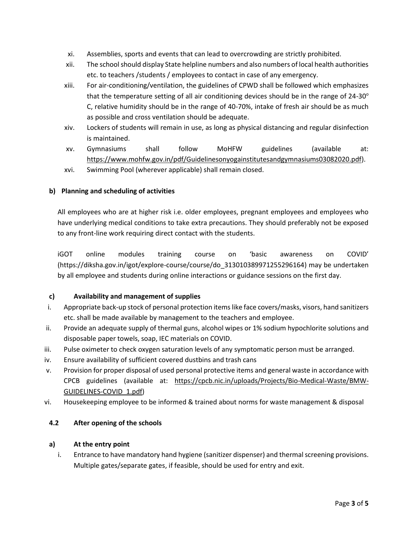- xi. Assemblies, sports and events that can lead to overcrowding are strictly prohibited.
- xii. The schoolshould display State helpline numbers and also numbers of local health authorities etc. to teachers /students / employees to contact in case of any emergency.
- xiii. For air-conditioning/ventilation, the guidelines of CPWD shall be followed which emphasizes that the temperature setting of all air conditioning devices should be in the range of  $24-30^\circ$ C, relative humidity should be in the range of 40-70%, intake of fresh air should be as much as possible and cross ventilation should be adequate.
- xiv. Lockers of students will remain in use, as long as physical distancing and regular disinfection is maintained.
- xv. Gymnasiums shall follow MoHFW guidelines (available at: [https://www.mohfw.gov.in/pdf/Guidelinesonyogainstitutesandgymnasiums03082020.pdf\)](https://www.mohfw.gov.in/pdf/Guidelinesonyogainstitutesandgymnasiums03082020.pdf).
- xvi. Swimming Pool (wherever applicable) shall remain closed.

## **b) Planning and scheduling of activities**

All employees who are at higher risk i.e. older employees, pregnant employees and employees who have underlying medical conditions to take extra precautions. They should preferably not be exposed to any front-line work requiring direct contact with the students.

iGOT online modules training course on 'basic awareness on COVID' (https://diksha.gov.in/igot/explore-course/course/do\_313010389971255296164) may be undertaken by all employee and students during online interactions or guidance sessions on the first day.

## **c) Availability and management of supplies**

- i. Appropriate back-up stock of personal protection itemslike face covers/masks, visors, hand sanitizers etc. shall be made available by management to the teachers and employee.
- ii. Provide an adequate supply of thermal guns, alcohol wipes or 1% sodium hypochlorite solutions and disposable paper towels, soap, IEC materials on COVID.
- iii. Pulse oximeter to check oxygen saturation levels of any symptomatic person must be arranged.
- iv. Ensure availability of sufficient covered dustbins and trash cans
- v. Provision for proper disposal of used personal protective items and general waste in accordance with CPCB guidelines (available at: [https://cpcb.nic.in/uploads/Projects/Bio-Medical-Waste/BMW-](https://cpcb.nic.in/uploads/Projects/Bio-Medical-Waste/BMW-GUIDELINES-COVID_1.pdf)[GUIDELINES-COVID\\_1.pdf\)](https://cpcb.nic.in/uploads/Projects/Bio-Medical-Waste/BMW-GUIDELINES-COVID_1.pdf)
- vi. Housekeeping employee to be informed & trained about norms for waste management & disposal

#### **4.2 After opening of the schools**

#### **a) At the entry point**

i. Entrance to have mandatory hand hygiene (sanitizer dispenser) and thermal screening provisions. Multiple gates/separate gates, if feasible, should be used for entry and exit.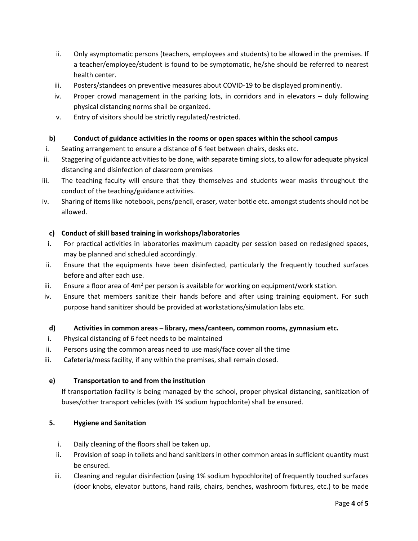- ii. Only asymptomatic persons (teachers, employees and students) to be allowed in the premises. If a teacher/employee/student is found to be symptomatic, he/she should be referred to nearest health center.
- iii. Posters/standees on preventive measures about COVID-19 to be displayed prominently.
- iv. Proper crowd management in the parking lots, in corridors and in elevators duly following physical distancing norms shall be organized.
- v. Entry of visitors should be strictly regulated/restricted.

## **b) Conduct of guidance activities in the rooms or open spaces within the school campus**

- i. Seating arrangement to ensure a distance of 6 feet between chairs, desks etc.
- ii. Staggering of guidance activities to be done, with separate timing slots, to allow for adequate physical distancing and disinfection of classroom premises
- iii. The teaching faculty will ensure that they themselves and students wear masks throughout the conduct of the teaching/guidance activities.
- iv. Sharing of items like notebook, pens/pencil, eraser, water bottle etc. amongst students should not be allowed.

## **c) Conduct of skill based training in workshops/laboratories**

- i. For practical activities in laboratories maximum capacity per session based on redesigned spaces, may be planned and scheduled accordingly.
- ii. Ensure that the equipments have been disinfected, particularly the frequently touched surfaces before and after each use.
- iii. Ensure a floor area of  $4m^2$  per person is available for working on equipment/work station.
- iv. Ensure that members sanitize their hands before and after using training equipment. For such purpose hand sanitizer should be provided at workstations/simulation labs etc.

#### **d) Activities in common areas – library, mess/canteen, common rooms, gymnasium etc.**

- i. Physical distancing of 6 feet needs to be maintained
- ii. Persons using the common areas need to use mask/face cover all the time
- iii. Cafeteria/mess facility, if any within the premises, shall remain closed.

#### **e) Transportation to and from the institution**

If transportation facility is being managed by the school, proper physical distancing, sanitization of buses/other transport vehicles (with 1% sodium hypochlorite) shall be ensured.

#### **5. Hygiene and Sanitation**

- i. Daily cleaning of the floors shall be taken up.
- ii. Provision of soap in toilets and hand sanitizers in other common areas in sufficient quantity must be ensured.
- iii. Cleaning and regular disinfection (using 1% sodium hypochlorite) of frequently touched surfaces (door knobs, elevator buttons, hand rails, chairs, benches, washroom fixtures, etc.) to be made